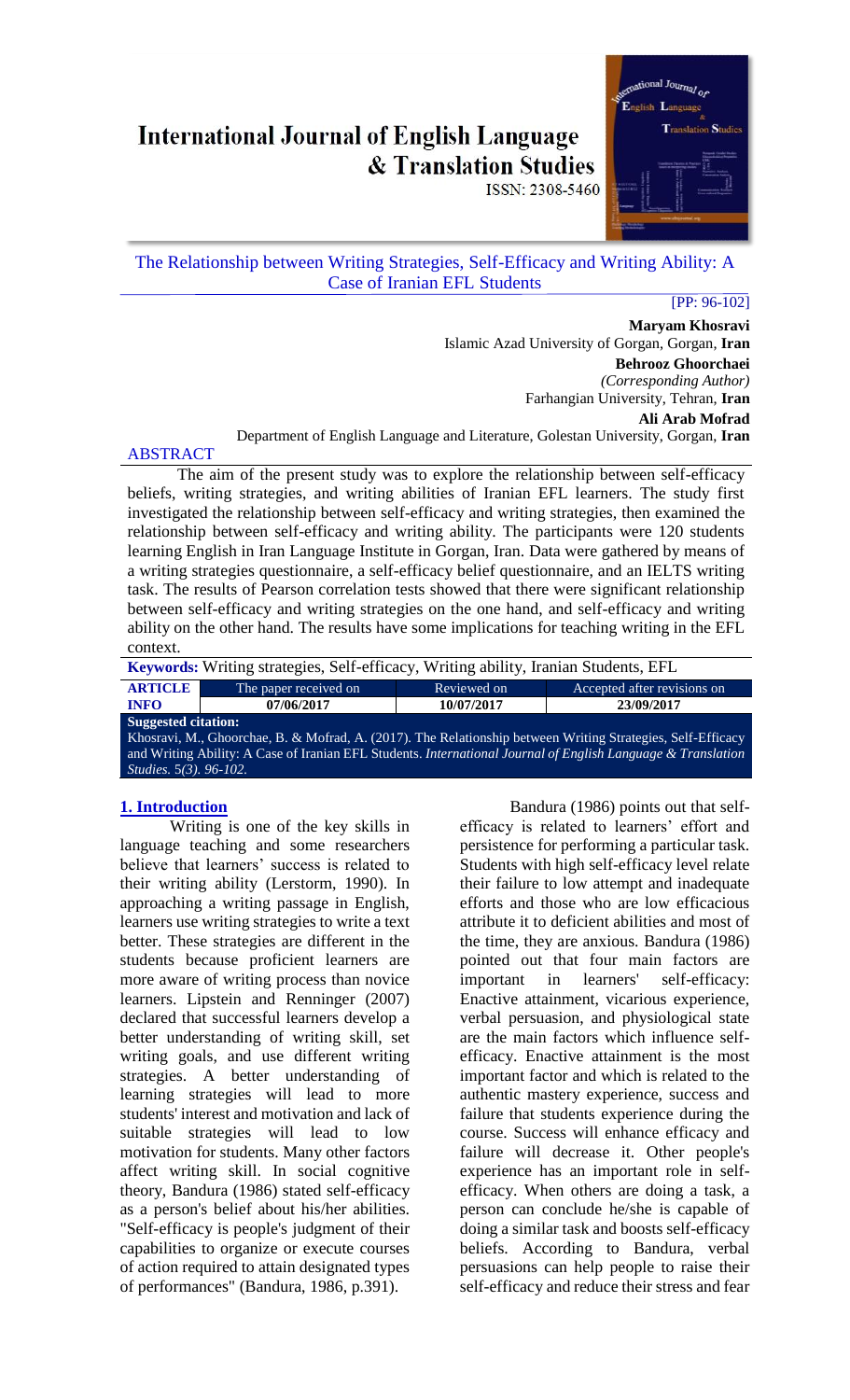# **International Journal of English Language & Translation Studies**



ISSN: 2308-5460

# The Relationship between Writing Strategies, Self-Efficacy and Writing Ability: A Case of Iranian EFL Students

#### [PP: 96-102]

**Maryam Khosravi** Islamic Azad University of Gorgan, Gorgan, **Iran Behrooz Ghoorchaei** *(Corresponding Author)* Farhangian University, Tehran, **Iran Ali Arab Mofrad**

Department of English Language and Literature, Golestan University, Gorgan, **Iran**

# ABSTRACT

The aim of the present study was to explore the relationship between self-efficacy beliefs, writing strategies, and writing abilities of Iranian EFL learners. The study first investigated the relationship between self-efficacy and writing strategies, then examined the relationship between self-efficacy and writing ability. The participants were 120 students learning English in Iran Language Institute in Gorgan, Iran. Data were gathered by means of a writing strategies questionnaire, a self-efficacy belief questionnaire, and an IELTS writing task. The results of Pearson correlation tests showed that there were significant relationship between self-efficacy and writing strategies on the one hand, and self-efficacy and writing ability on the other hand. The results have some implications for teaching writing in the EFL context.

| <b>Keywords:</b> Writing strategies, Self-efficacy, Writing ability, Iranian Students, EFL                   |                       |             |                             |  |  |  |
|--------------------------------------------------------------------------------------------------------------|-----------------------|-------------|-----------------------------|--|--|--|
| <b>ARTICLE</b>                                                                                               | The paper received on | Reviewed on | Accepted after revisions on |  |  |  |
| <b>INFO</b>                                                                                                  | 07/06/2017            | 10/07/2017  | 23/09/2017                  |  |  |  |
| <b>Suggested citation:</b>                                                                                   |                       |             |                             |  |  |  |
| Khosravi, M., Ghoorchae, B. & Mofrad, A. (2017). The Relationship between Writing Strategies, Self-Efficacy  |                       |             |                             |  |  |  |
| and Writing Ability: A Case of Iranian EFL Students. International Journal of English Language & Translation |                       |             |                             |  |  |  |
| <i>Studies</i> , 5(3), 96-102.                                                                               |                       |             |                             |  |  |  |

# **1. Introduction**

Writing is one of the key skills in language teaching and some researchers believe that learners' success is related to their writing ability (Lerstorm, 1990). In approaching a writing passage in English, learners use writing strategies to write a text better. These strategies are different in the students because proficient learners are more aware of writing process than novice learners. Lipstein and Renninger (2007) declared that successful learners develop a better understanding of writing skill, set writing goals, and use different writing strategies. A better understanding of learning strategies will lead to more students' interest and motivation and lack of suitable strategies will lead to low motivation for students. Many other factors affect writing skill. In social cognitive theory, Bandura (1986) stated self-efficacy as a person's belief about his/her abilities. "Self-efficacy is people's judgment of their capabilities to organize or execute courses of action required to attain designated types of performances" (Bandura, 1986, p.391).

Bandura (1986) points out that selfefficacy is related to learners' effort and persistence for performing a particular task. Students with high self-efficacy level relate their failure to low attempt and inadequate efforts and those who are low efficacious attribute it to deficient abilities and most of the time, they are anxious. Bandura (1986) pointed out that four main factors are important in learners' self-efficacy: Enactive attainment, vicarious experience, verbal persuasion, and physiological state are the main factors which influence selfefficacy. Enactive attainment is the most important factor and which is related to the authentic mastery experience, success and failure that students experience during the course. Success will enhance efficacy and failure will decrease it. Other people's experience has an important role in selfefficacy. When others are doing a task, a person can conclude he/she is capable of doing a similar task and boosts self-efficacy beliefs. According to Bandura, verbal persuasions can help people to raise their self-efficacy and reduce their stress and fear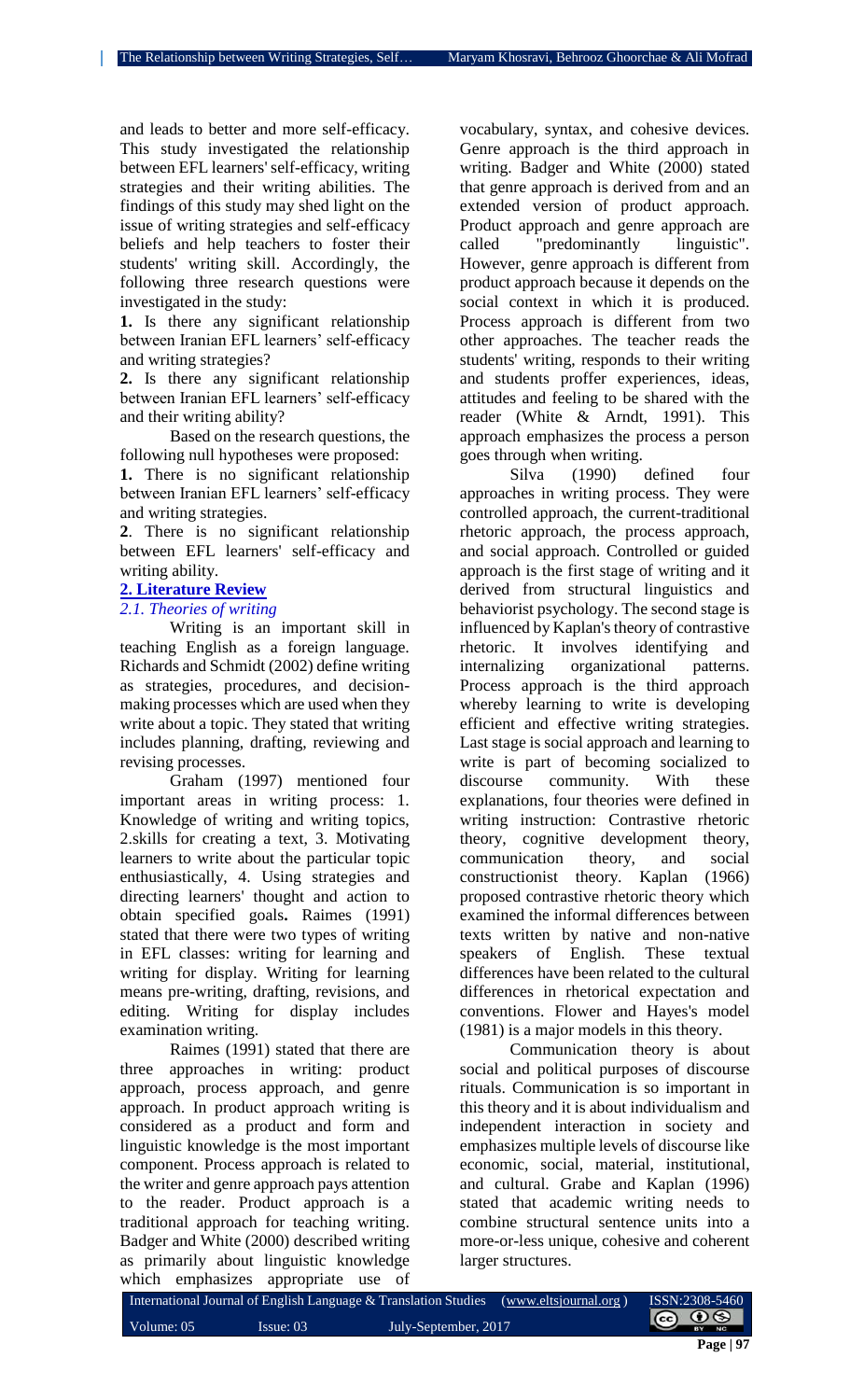and leads to better and more self-efficacy. This study investigated the relationship between EFL learners' self-efficacy, writing strategies and their writing abilities. The findings of this study may shed light on the issue of writing strategies and self-efficacy beliefs and help teachers to foster their students' writing skill. Accordingly, the following three research questions were investigated in the study:

**1.** Is there any significant relationship between Iranian EFL learners' self-efficacy and writing strategies?

**2.** Is there any significant relationship between Iranian EFL learners' self-efficacy and their writing ability?

Based on the research questions, the following null hypotheses were proposed:

**1.** There is no significant relationship between Iranian EFL learners' self-efficacy and writing strategies.

**2**. There is no significant relationship between EFL learners' self-efficacy and writing ability.

#### **2. Literature Review**

### *2.1. Theories of writing*

Writing is an important skill in teaching English as a foreign language. Richards and Schmidt (2002) define writing as strategies, procedures, and decisionmaking processes which are used when they write about a topic. They stated that writing includes planning, drafting, reviewing and revising processes.

Graham (1997) mentioned four important areas in writing process: 1. Knowledge of writing and writing topics, 2.skills for creating a text, 3. Motivating learners to write about the particular topic enthusiastically, 4. Using strategies and directing learners' thought and action to obtain specified goals**.** Raimes (1991) stated that there were two types of writing in EFL classes: writing for learning and writing for display. Writing for learning means pre-writing, drafting, revisions, and editing. Writing for display includes examination writing.

Raimes (1991) stated that there are three approaches in writing: product approach, process approach, and genre approach. In product approach writing is considered as a product and form and linguistic knowledge is the most important component. Process approach is related to the writer and genre approach pays attention to the reader. Product approach is a traditional approach for teaching writing. Badger and White (2000) described writing as primarily about linguistic knowledge which emphasizes appropriate use of

vocabulary, syntax, and cohesive devices. Genre approach is the third approach in writing. Badger and White (2000) stated that genre approach is derived from and an extended version of product approach. Product approach and genre approach are called "predominantly linguistic". However, genre approach is different from product approach because it depends on the social context in which it is produced. Process approach is different from two other approaches. The teacher reads the students' writing, responds to their writing and students proffer experiences, ideas, attitudes and feeling to be shared with the reader (White & Arndt, 1991). This approach emphasizes the process a person goes through when writing.

Silva (1990) defined four approaches in writing process. They were controlled approach, the current-traditional rhetoric approach, the process approach, and social approach. Controlled or guided approach is the first stage of writing and it derived from structural linguistics and behaviorist psychology. The second stage is influenced by Kaplan's theory of contrastive rhetoric. It involves identifying and internalizing organizational patterns. Process approach is the third approach whereby learning to write is developing efficient and effective writing strategies. Last stage is social approach and learning to write is part of becoming socialized to discourse community. With these explanations, four theories were defined in writing instruction: Contrastive rhetoric theory, cognitive development theory, communication theory, and social constructionist theory. Kaplan (1966) proposed contrastive rhetoric theory which examined the informal differences between texts written by native and non-native speakers of English. These textual differences have been related to the cultural differences in rhetorical expectation and conventions. Flower and Hayes's model (1981) is a major models in this theory.

Communication theory is about social and political purposes of discourse rituals. Communication is so important in this theory and it is about individualism and independent interaction in society and emphasizes multiple levels of discourse like economic, social, material, institutional, and cultural. Grabe and Kaplan (1996) stated that academic writing needs to combine structural sentence units into a more-or-less unique, cohesive and coherent larger structures.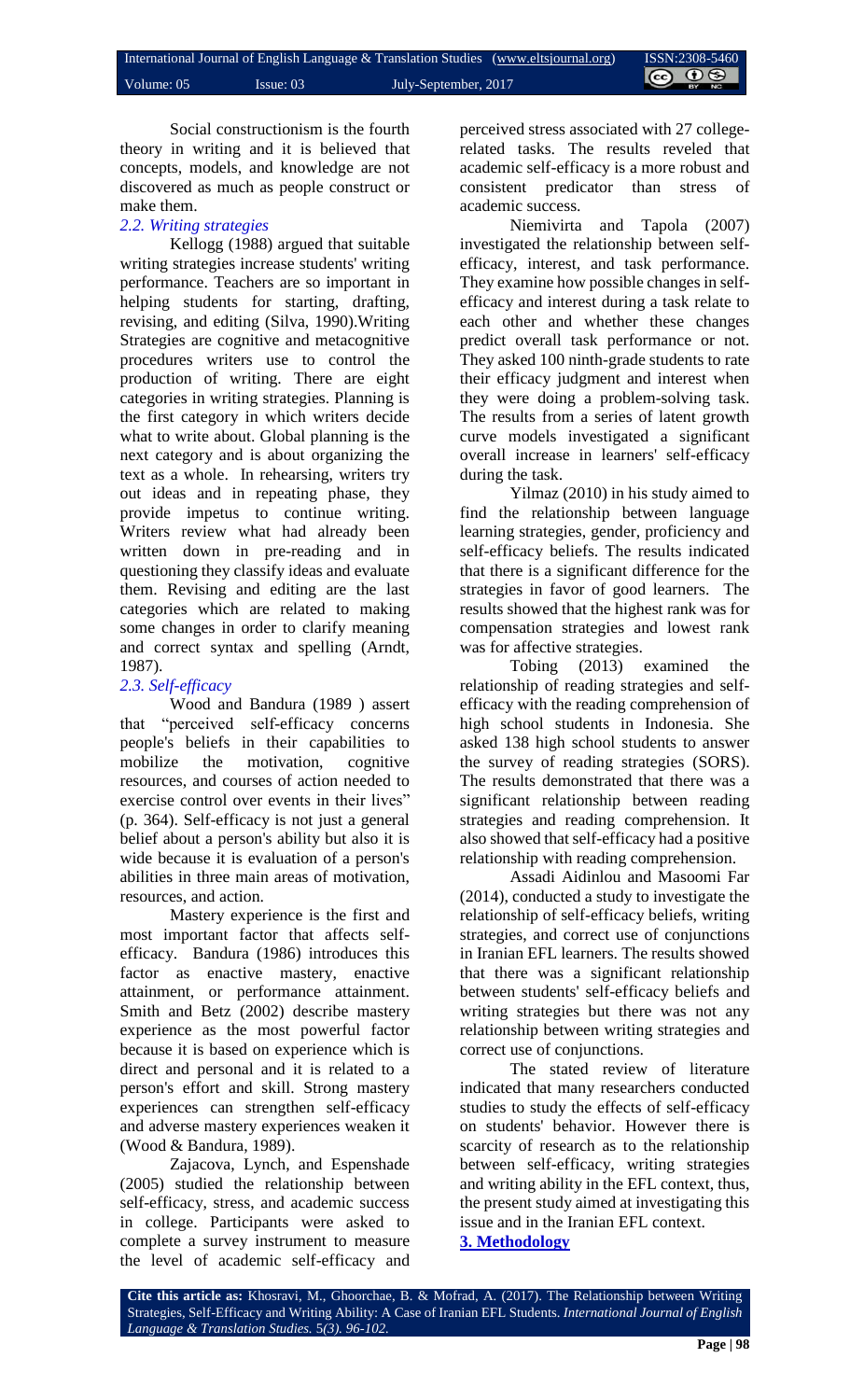Social constructionism is the fourth theory in writing and it is believed that concepts, models, and knowledge are not discovered as much as people construct or make them.

# *2.2. Writing strategies*

Kellogg (1988) argued that suitable writing strategies increase students' writing performance. Teachers are so important in helping students for starting, drafting, revising, and editing (Silva, 1990).Writing Strategies are cognitive and metacognitive procedures writers use to control the production of writing. There are eight categories in writing strategies. Planning is the first category in which writers decide what to write about. Global planning is the next category and is about organizing the text as a whole. In rehearsing, writers try out ideas and in repeating phase, they provide impetus to continue writing. Writers review what had already been written down in pre-reading and in questioning they classify ideas and evaluate them. Revising and editing are the last categories which are related to making some changes in order to clarify meaning and correct syntax and spelling (Arndt, 1987).

# *2.3. Self-efficacy*

Wood and Bandura (1989 ) assert that "perceived self-efficacy concerns people's beliefs in their capabilities to mobilize the motivation, cognitive resources, and courses of action needed to exercise control over events in their lives" (p. 364). Self-efficacy is not just a general belief about a person's ability but also it is wide because it is evaluation of a person's abilities in three main areas of motivation, resources, and action.

Mastery experience is the first and most important factor that affects selfefficacy. Bandura (1986) introduces this factor as enactive mastery, enactive attainment, or performance attainment. Smith and Betz (2002) describe mastery experience as the most powerful factor because it is based on experience which is direct and personal and it is related to a person's effort and skill. Strong mastery experiences can strengthen self-efficacy and adverse mastery experiences weaken it (Wood & Bandura, 1989).

Zajacova, Lynch, and Espenshade (2005) studied the relationship between self-efficacy, stress, and academic success in college. Participants were asked to complete a survey instrument to measure the level of academic self-efficacy and perceived stress associated with 27 collegerelated tasks. The results reveled that academic self-efficacy is a more robust and consistent predicator than stress of academic success.

Niemivirta and Tapola (2007) investigated the relationship between selfefficacy, interest, and task performance. They examine how possible changes in selfefficacy and interest during a task relate to each other and whether these changes predict overall task performance or not. They asked 100 ninth-grade students to rate their efficacy judgment and interest when they were doing a problem-solving task. The results from a series of latent growth curve models investigated a significant overall increase in learners' self-efficacy during the task.

Yilmaz (2010) in his study aimed to find the relationship between language learning strategies, gender, proficiency and self-efficacy beliefs. The results indicated that there is a significant difference for the strategies in favor of good learners. The results showed that the highest rank was for compensation strategies and lowest rank was for affective strategies.

Tobing (2013) examined the relationship of reading strategies and selfefficacy with the reading comprehension of high school students in Indonesia. She asked 138 high school students to answer the survey of reading strategies (SORS). The results demonstrated that there was a significant relationship between reading strategies and reading comprehension. It also showed that self-efficacy had a positive relationship with reading comprehension.

Assadi Aidinlou and Masoomi Far (2014), conducted a study to investigate the relationship of self-efficacy beliefs, writing strategies, and correct use of conjunctions in Iranian EFL learners. The results showed that there was a significant relationship between students' self-efficacy beliefs and writing strategies but there was not any relationship between writing strategies and correct use of conjunctions.

The stated review of literature indicated that many researchers conducted studies to study the effects of self-efficacy on students' behavior. However there is scarcity of research as to the relationship between self-efficacy, writing strategies and writing ability in the EFL context, thus, the present study aimed at investigating this issue and in the Iranian EFL context. **3. Methodology**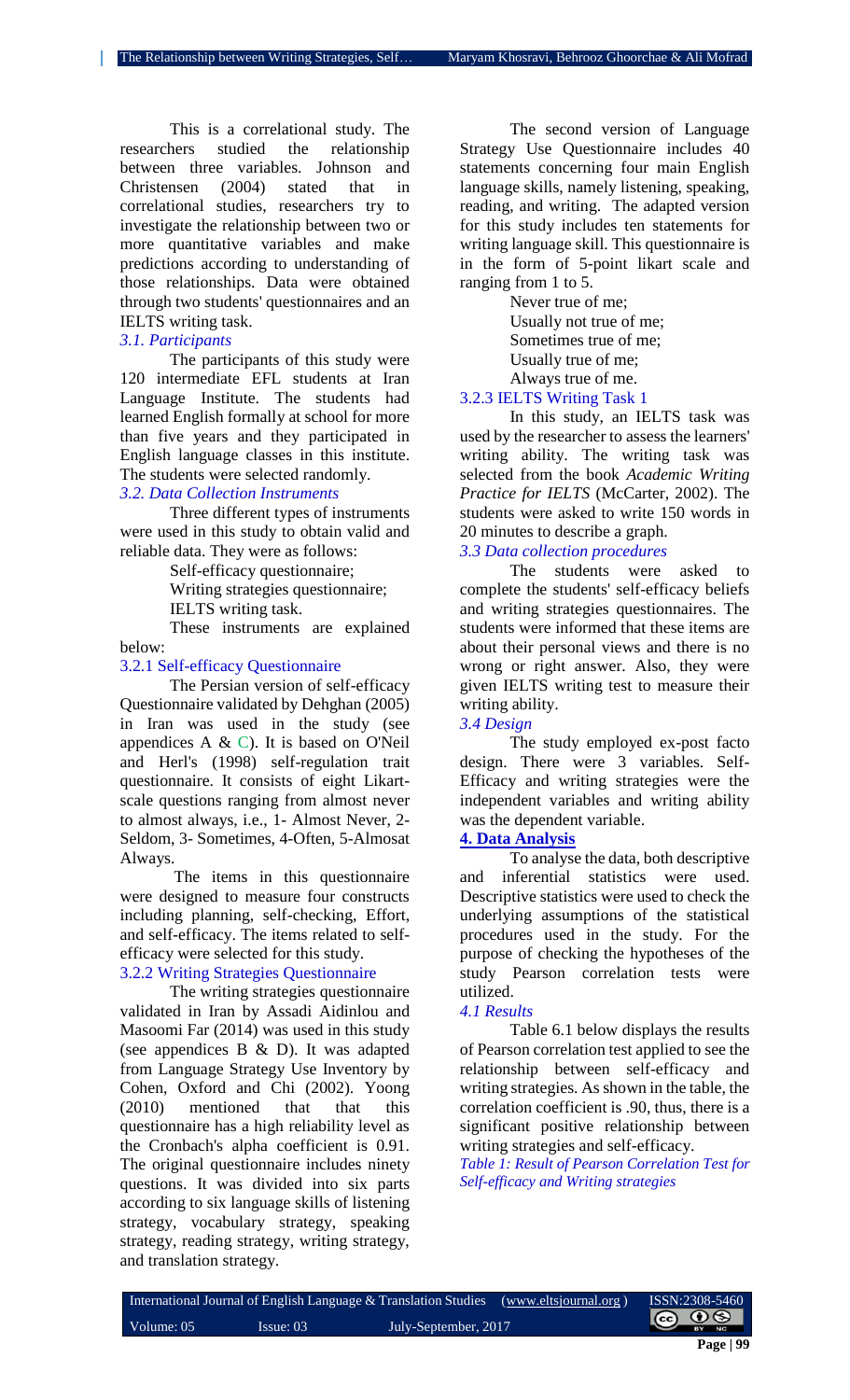This is a correlational study. The researchers studied the relationship between three variables. Johnson and Christensen (2004) stated that in correlational studies, researchers try to investigate the relationship between two or more quantitative variables and make predictions according to understanding of those relationships. Data were obtained through two students' questionnaires and an IELTS writing task.

#### *3.1. Participants*

The participants of this study were 120 intermediate EFL students at Iran Language Institute. The students had learned English formally at school for more than five years and they participated in English language classes in this institute. The students were selected randomly.

# *3.2. Data Collection Instruments*

Three different types of instruments were used in this study to obtain valid and reliable data. They were as follows:

Self-efficacy questionnaire;

Writing strategies questionnaire;

IELTS writing task.

These instruments are explained below:

#### 3.2.1 Self-efficacy Questionnaire

The Persian version of self-efficacy Questionnaire validated by Dehghan (2005) in Iran was used in the study (see appendices A & C). It is based on O'Neil and Herl's (1998) self-regulation trait questionnaire. It consists of eight Likartscale questions ranging from almost never to almost always, i.e., 1- Almost Never, 2- Seldom, 3- Sometimes, 4-Often, 5-Almosat Always.

The items in this questionnaire were designed to measure four constructs including planning, self-checking, Effort, and self-efficacy. The items related to selfefficacy were selected for this study.

# 3.2.2 Writing Strategies Questionnaire

The writing strategies questionnaire validated in Iran by Assadi Aidinlou and Masoomi Far (2014) was used in this study (see appendices B & D). It was adapted from Language Strategy Use Inventory by Cohen, Oxford and Chi (2002). Yoong (2010) mentioned that that this questionnaire has a high reliability level as the Cronbach's alpha coefficient is 0.91. The original questionnaire includes ninety questions. It was divided into six parts according to six language skills of listening strategy, vocabulary strategy, speaking strategy, reading strategy, writing strategy, and translation strategy.

The second version of Language Strategy Use Questionnaire includes 40 statements concerning four main English language skills, namely listening, speaking, reading, and writing. The adapted version for this study includes ten statements for writing language skill. This questionnaire is in the form of 5-point likart scale and ranging from 1 to 5.

> Never true of me; Usually not true of me; Sometimes true of me; Usually true of me; Always true of me.

### 3.2.3 IELTS Writing Task 1

In this study, an IELTS task was used by the researcher to assess the learners' writing ability. The writing task was selected from the book *Academic Writing Practice for IELTS* (McCarter, 2002). The students were asked to write 150 words in 20 minutes to describe a graph. *3.3 Data collection procedures*

The students were asked to complete the students' self-efficacy beliefs and writing strategies questionnaires. The students were informed that these items are about their personal views and there is no wrong or right answer. Also, they were given IELTS writing test to measure their writing ability.

# *3.4 Design*

The study employed ex-post facto design. There were 3 variables. Self-Efficacy and writing strategies were the independent variables and writing ability was the dependent variable.

# **4. Data Analysis**

To analyse the data, both descriptive and inferential statistics were used. Descriptive statistics were used to check the underlying assumptions of the statistical procedures used in the study. For the purpose of checking the hypotheses of the study Pearson correlation tests were utilized.

#### *4.1 Results*

Table 6.1 below displays the results of Pearson correlation test applied to see the relationship between self-efficacy and writing strategies. As shown in the table, the correlation coefficient is .90, thus, there is a significant positive relationship between writing strategies and self-efficacy.

*Table 1: Result of Pearson Correlation Test for Self-efficacy and Writing strategies*

|              |                     | International Journal of English Language & Translation Studies (www.eltsjournal.org) | ISSN:2308-5460        |
|--------------|---------------------|---------------------------------------------------------------------------------------|-----------------------|
| Volume: $05$ | $\text{Issue: } 03$ | July-September, 2017                                                                  | $\bigcirc$ $\bigcirc$ |
|              |                     |                                                                                       | $P_{2} = 100$         |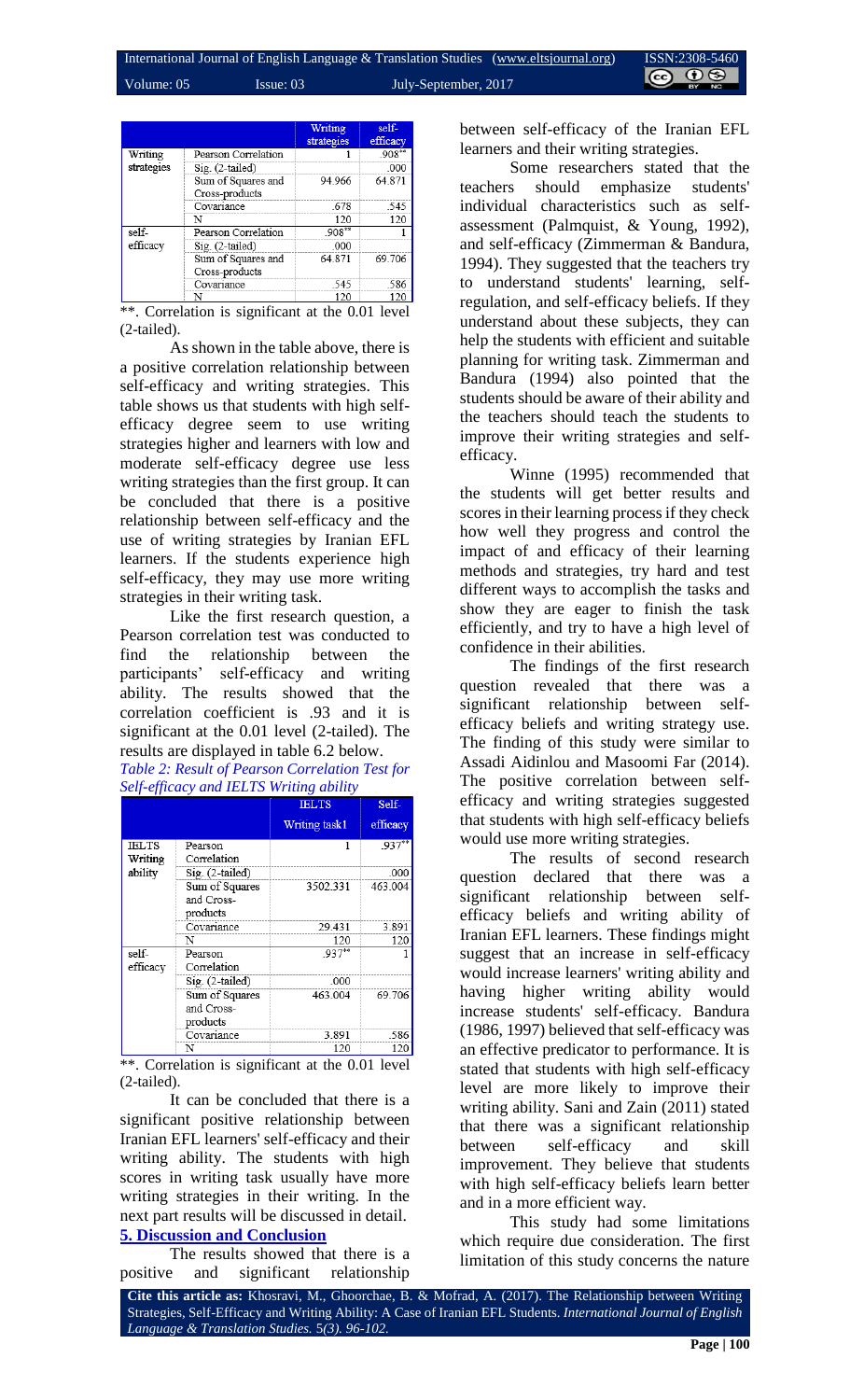|            |                                      | Writing<br>strategies | self-<br>efficacy |
|------------|--------------------------------------|-----------------------|-------------------|
| Writing    | Pearson Correlation                  |                       | $.908**$          |
| strategies | Sig. (2-tailed)                      |                       | .000              |
|            | Sum of Squares and<br>Cross-products | 94.966                | 64.871            |
|            | Covariance                           | .678                  | .545              |
|            | N                                    | 120                   | 120               |
| self-      | Pearson Correlation                  | $.908**$              |                   |
| efficacy   | Sig. (2-tailed)                      | .000                  |                   |
|            | Sum of Squares and<br>Cross-products | 64.871                | 69.706            |
|            | Covariance                           | -545                  | .586              |
|            | N                                    | 120                   | 120               |

\*\*. Correlation is significant at the 0.01 level (2-tailed).

As shown in the table above, there is a positive correlation relationship between self-efficacy and writing strategies. This table shows us that students with high selfefficacy degree seem to use writing strategies higher and learners with low and moderate self-efficacy degree use less writing strategies than the first group. It can be concluded that there is a positive relationship between self-efficacy and the use of writing strategies by Iranian EFL learners. If the students experience high self-efficacy, they may use more writing strategies in their writing task.

Like the first research question, a Pearson correlation test was conducted to find the relationship between the participants' self-efficacy and writing ability. The results showed that the correlation coefficient is .93 and it is significant at the 0.01 level (2-tailed). The results are displayed in table 6.2 below.

*Table 2: Result of Pearson Correlation Test for Self-efficacy and IELTS Writing ability*

|              |                 | <b>IELTS</b>  | Self-    |
|--------------|-----------------|---------------|----------|
|              |                 | Writing task1 | efficacy |
| <b>IELTS</b> | Pearson         |               | $.937**$ |
| Writing      | Correlation     |               |          |
| ability      | Sig. (2-tailed) |               | .000     |
|              | Sum of Squares  | 3502.331      | 463.004  |
|              | and Cross-      |               |          |
|              | products        |               |          |
|              | Covariance      | 29.431        | 3.891    |
|              | N               | 120           | 120      |
| self-        | Pearson         | $937**$       |          |
| efficacy     | Correlation     |               |          |
|              | Sig. (2-tailed) | .000          |          |
|              | Sum of Squares  | 463.004       | 69.706   |
|              | and Cross-      |               |          |
|              | products        |               |          |
|              | Covariance      | 3.891         | .586     |
|              | N               | 120           | 120      |

\*\*. Correlation is significant at the 0.01 level (2-tailed).

It can be concluded that there is a significant positive relationship between Iranian EFL learners' self-efficacy and their writing ability. The students with high scores in writing task usually have more writing strategies in their writing. In the next part results will be discussed in detail. **5. Discussion and Conclusion**

The results showed that there is a positive and significant relationship

between self-efficacy of the Iranian EFL learners and their writing strategies.

Some researchers stated that the teachers should emphasize students' individual characteristics such as selfassessment (Palmquist, & Young, 1992), and self-efficacy (Zimmerman & Bandura, 1994). They suggested that the teachers try to understand students' learning, selfregulation, and self-efficacy beliefs. If they understand about these subjects, they can help the students with efficient and suitable planning for writing task. Zimmerman and Bandura (1994) also pointed that the students should be aware of their ability and the teachers should teach the students to improve their writing strategies and selfefficacy.

Winne (1995) recommended that the students will get better results and scores in their learning process if they check how well they progress and control the impact of and efficacy of their learning methods and strategies, try hard and test different ways to accomplish the tasks and show they are eager to finish the task efficiently, and try to have a high level of confidence in their abilities.

The findings of the first research question revealed that there was a significant relationship between selfefficacy beliefs and writing strategy use. The finding of this study were similar to Assadi Aidinlou and Masoomi Far (2014). The positive correlation between selfefficacy and writing strategies suggested that students with high self-efficacy beliefs would use more writing strategies.

The results of second research question declared that there was a significant relationship between selfefficacy beliefs and writing ability of Iranian EFL learners. These findings might suggest that an increase in self-efficacy would increase learners' writing ability and having higher writing ability would increase students' self-efficacy. Bandura (1986, 1997) believed that self-efficacy was an effective predicator to performance. It is stated that students with high self-efficacy level are more likely to improve their writing ability. Sani and Zain (2011) stated that there was a significant relationship between self-efficacy and skill improvement. They believe that students with high self-efficacy beliefs learn better and in a more efficient way.

This study had some limitations which require due consideration. The first limitation of this study concerns the nature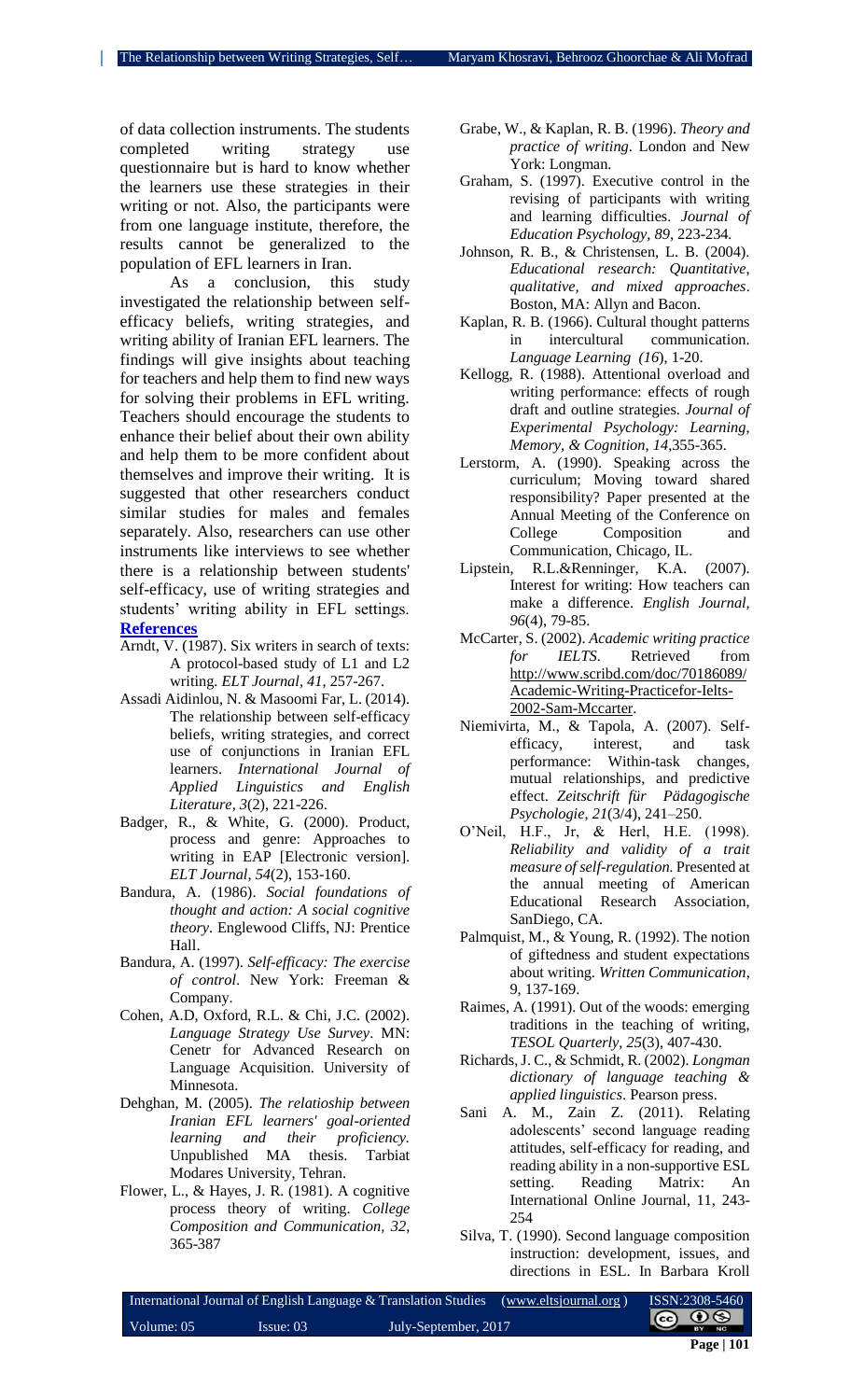of data collection instruments. The students completed writing strategy use questionnaire but is hard to know whether the learners use these strategies in their writing or not. Also, the participants were from one language institute, therefore, the results cannot be generalized to the population of EFL learners in Iran.

As a conclusion, this study investigated the relationship between selfefficacy beliefs, writing strategies, and writing ability of Iranian EFL learners. The findings will give insights about teaching for teachers and help them to find new ways for solving their problems in EFL writing. Teachers should encourage the students to enhance their belief about their own ability and help them to be more confident about themselves and improve their writing. It is suggested that other researchers conduct similar studies for males and females separately. Also, researchers can use other instruments like interviews to see whether there is a relationship between students' self-efficacy, use of writing strategies and students' writing ability in EFL settings. **References**

- Arndt, V. (1987). Six writers in search of texts: A protocol-based study of L1 and L2 writing. *ELT Journal, 41*, 257-267.
- Assadi Aidinlou, N. & Masoomi Far, L. (2014). The relationship between self-efficacy beliefs, writing strategies, and correct use of conjunctions in Iranian EFL learners. *International Journal of Applied Linguistics and English Literature, 3*(2), 221-226.
- Badger, R., & White, G. (2000). Product, process and genre: Approaches to writing in EAP [Electronic version]. *ELT Journal, 54*(2), 153-160.
- Bandura, A. (1986). *Social foundations of thought and action: A social cognitive theory*. Englewood Cliffs, NJ: Prentice Hall.
- Bandura, A. (1997). *Self-efficacy: The exercise of control*. New York: Freeman & Company.
- Cohen, A.D, Oxford, R.L. & Chi, J.C. (2002). *Language Strategy Use Survey*. MN: Cenetr for Advanced Research on Language Acquisition. University of Minnesota.
- Dehghan, M. (2005). *The relatioship between Iranian EFL learners' goal-oriented learning and their proficiency.* Unpublished MA thesis. Tarbiat Modares University, Tehran.
- Flower, L., & Hayes, J. R. (1981). A cognitive process theory of writing. *College Composition and Communication, 32*, 365-387
- Grabe, W., & Kaplan, R. B. (1996). *Theory and practice of writing*. London and New York: Longman.
- Graham, S. (1997). Executive control in the revising of participants with writing and learning difficulties. *Journal of Education Psychology, 89,* 223-234*.*
- Johnson, R. B., & Christensen, L. B. (2004). *Educational research: Quantitative, qualitative, and mixed approaches*. Boston, MA: Allyn and Bacon.
- Kaplan, R. B. (1966). Cultural thought patterns in intercultural communication. *Language Learning (16*), 1-20.
- Kellogg, R. (1988). Attentional overload and writing performance: effects of rough draft and outline strategies. *Journal of Experimental Psychology: Learning, Memory, & Cognition, 14*,355-365.
- Lerstorm, A. (1990). Speaking across the curriculum; Moving toward shared responsibility? Paper presented at the Annual Meeting of the Conference on College Composition and Communication, Chicago, IL.
- Lipstein, R.L.&Renninger, K.A. (2007). Interest for writing: How teachers can make a difference. *English Journal, 96*(4), 79-85.
- McCarter, S. (2002). *Academic writing practice for IELTS*. Retrieved from [http://www.scribd.com/doc/70186089/](http://www.scribd.com/doc/70186089/Academic-Writing-Practicefor-Ielts-2002-Sam-Mccarter) [Academic-Writing-Practicefor-Ielts-](http://www.scribd.com/doc/70186089/Academic-Writing-Practicefor-Ielts-2002-Sam-Mccarter)[2002-Sam-Mccarter.](http://www.scribd.com/doc/70186089/Academic-Writing-Practicefor-Ielts-2002-Sam-Mccarter)
- Niemivirta, M., & Tapola, A. (2007). Selfefficacy, interest, and task performance: Within-task changes, mutual relationships, and predictive effect. *Zeitschrift für Pädagogische Psychologie*, *21*(3/4), 241–250.
- O'Neil, H.F., Jr, & Herl, H.E. (1998). *Reliability and validity of a trait measure of self-regulation.* Presented at the annual meeting of American Educational Research Association, SanDiego, CA.
- Palmquist, M., & Young, R. (1992). The notion of giftedness and student expectations about writing. *Written Communication*, 9, 137-169.
- Raimes, A. (1991). Out of the woods: emerging traditions in the teaching of writing, *TESOL Quarterly*, *25*(3), 407-430.
- Richards, J. C., & Schmidt, R. (2002). *Longman dictionary of language teaching & applied linguistics*. Pearson press.
- Sani A. M., Zain Z. (2011). Relating adolescents' second language reading attitudes, self-efficacy for reading, and reading ability in a non-supportive ESL setting. Reading Matrix: An International Online Journal, 11, 243- 254
- Silva, T. (1990). Second language composition instruction: development, issues, and directions in ESL. In Barbara Kroll

|              |           | International Journal of English Language & Translation Studies (www.eltsjournal.org) | ISSN:2308-5460  |
|--------------|-----------|---------------------------------------------------------------------------------------|-----------------|
| Volume: $05$ | Issue: 03 | July-September, 2017                                                                  | $\odot$ $\odot$ |
|              |           |                                                                                       |                 |